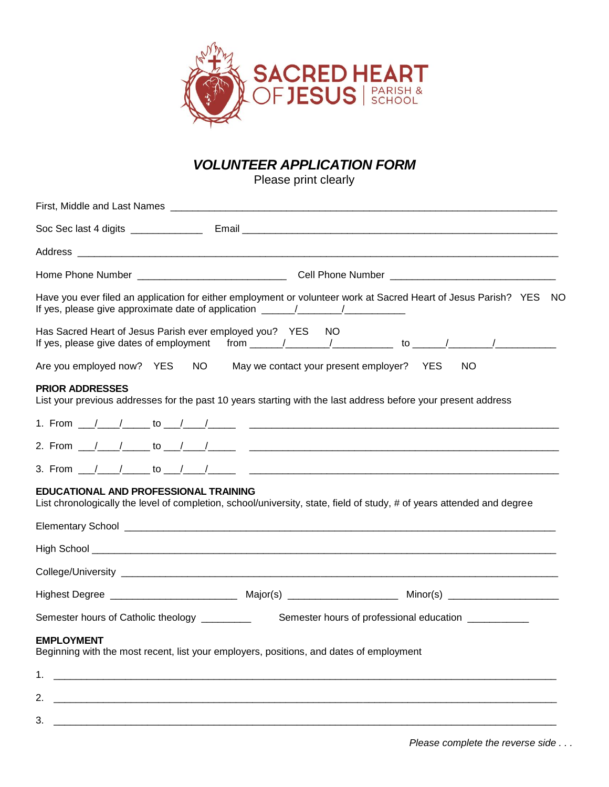

# *VOLUNTEER APPLICATION FORM*

Please print clearly

| Have you ever filed an application for either employment or volunteer work at Sacred Heart of Jesus Parish? YES NO<br>If yes, please give approximate date of application _____________________________ |
|---------------------------------------------------------------------------------------------------------------------------------------------------------------------------------------------------------|
| Has Sacred Heart of Jesus Parish ever employed you? YES<br>NO.                                                                                                                                          |
| Are you employed now? YES NO May we contact your present employer? YES<br>NO.                                                                                                                           |
| <b>PRIOR ADDRESSES</b><br>List your previous addresses for the past 10 years starting with the last address before your present address                                                                 |
|                                                                                                                                                                                                         |
|                                                                                                                                                                                                         |
|                                                                                                                                                                                                         |
| EDUCATIONAL AND PROFESSIONAL TRAINING<br>List chronologically the level of completion, school/university, state, field of study, # of years attended and degree                                         |
|                                                                                                                                                                                                         |
|                                                                                                                                                                                                         |
|                                                                                                                                                                                                         |
|                                                                                                                                                                                                         |
| Semester hours of Catholic theology _________<br>Semester hours of professional education ___________                                                                                                   |
| <b>EMPLOYMENT</b><br>Beginning with the most recent, list your employers, positions, and dates of employment                                                                                            |
|                                                                                                                                                                                                         |
|                                                                                                                                                                                                         |

3. \_\_\_\_\_\_\_\_\_\_\_\_\_\_\_\_\_\_\_\_\_\_\_\_\_\_\_\_\_\_\_\_\_\_\_\_\_\_\_\_\_\_\_\_\_\_\_\_\_\_\_\_\_\_\_\_\_\_\_\_\_\_\_\_\_\_\_\_\_\_\_\_\_\_\_\_\_\_\_\_\_\_\_\_\_\_\_\_\_\_\_